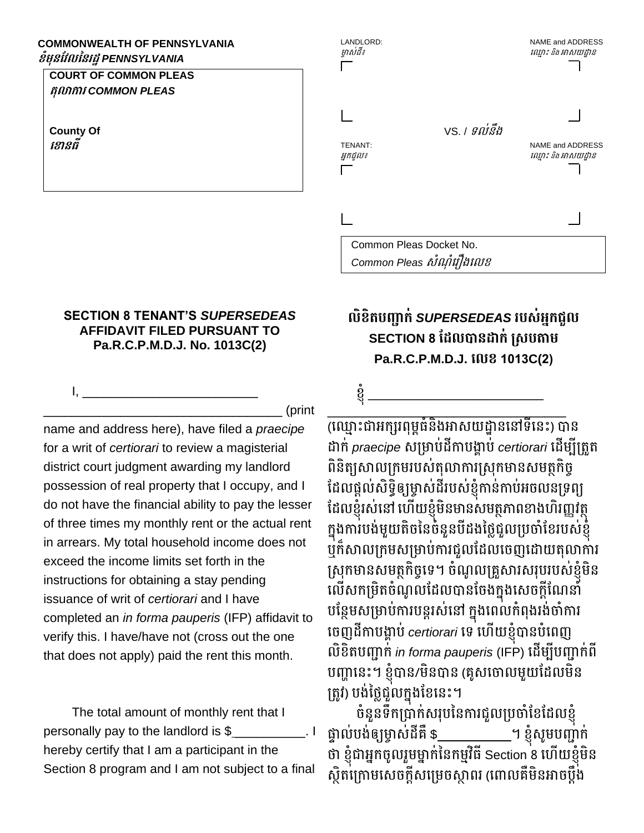#### **COMMONWEALTH OF PENNSYLVANIA ខំមុនវែលននរដ្ឋ***PENNSYLVANIA*

### **COURT OF COMMON PLEAS តុលាការ** *COMMON PLEAS*

**County Of ខ ានធី**

# LANDLORD: NAME and ADDRESS ម្ចាស់ដី៖ ឈ ្ាោះ និង អាសយដ្ឋាន VS. / ទល់នឹង TENANT: NAME and ADDRESS អ្នកជួល៖ ឈ ្ាោះ និង អាសយដ្ឋាន

Common Pleas Docket No. Common Pleas សំណំរ*ឿងលេខ* 

### **SECTION 8 TENANT'S** *SUPERSEDEAS*  **AFFIDAVIT FILED PURSUANT TO Pa.R.C.P.M.D.J. No. 1013C(2)**

I, \_\_\_\_\_\_\_\_\_\_\_\_\_\_\_\_\_\_\_\_\_\_\_\_\_

\_\_\_\_\_\_\_\_\_\_\_\_\_\_\_\_\_\_\_\_\_\_\_\_\_\_\_\_\_\_\_\_\_\_ (print

name and address here), have filed a *praecipe*  for a writ of *certiorari* to review a magisterial district court judgment awarding my landlord possession of real property that I occupy, and I do not have the financial ability to pay the lesser of three times my monthly rent or the actual rent in arrears. My total household income does not exceed the income limits set forth in the instructions for obtaining a stay pending issuance of writ of *certiorari* and I have completed an *in forma pauperis* (IFP) affidavit to verify this. I have/have not (cross out the one that does not apply) paid the rent this month.

The total amount of monthly rent that I personally pay to the landlord is \$ \_\_\_\_\_\_\_\_\_\_. I hereby certify that I am a participant in the Section 8 program and I am not subject to a final

## **លិខិតបញ្ជាក់** *SUPERSEDEAS* **របស់អ្នកជួល SECTION 8 ដែលបានដាក់ ស្សបតាម Pa.R.C.P.M.D.J. ខលខ 1013C(2)**

ខ្ញុ

\_\_\_\_\_\_\_\_\_\_\_\_\_\_\_\_\_\_\_\_\_\_\_\_\_\_\_\_\_\_\_\_\_\_ (ឈ្មោះជាអក្សរពុម្ពធំនិងអាសយដ្ឋាននៅទីនេះ) បាន ដាក់ *praecipe* សម្រាប់ដីកាបង្គាប់ *certiorari* ដើម្បីត្រូត ពិនិត្យសាលក្រមរបស់តុលាការស្រុកមានសមត្ថកិច្ ដែលផ្តល់សិទ្ធិឲ្យម្ចាស់ដីរបស់ខ្ញុំកាន់កាប់អចលនទ្រព្យ ដែលខ្ញុំរស់នៅ ហើយខ្ញុំមិនមានសមត្ថភាពខាងហិរញ្ញវត្ថុ ក្នុងការបង់មួយតិចនៃចំនួនបីដងថ្លៃជួលប្រចាំខែរបស់ខ្ញុំ ឬក៏សាលម្កម្សម្ម្ាប់ការជួលដដលឈច្ញឈដ្ាយរុលាការ ស្រុកមានសមត្ថកិច្ចទេ។ ចំណូលគ្រួសារសរុបរបស់ខ្ញុំមិន លើសកម្រិតចំណូលដែលបានចែងក្នុងសេចក្តីណែនាំ បន្ថែមសម្រាប់ការបន្តរស់នៅ ក្នុងពេលកំពុងរង់ចាំការ ឈច្ញដីកាបង្គាប់ *certiorari* ឈទ ឈ ើយខ្ញុំបានបុំឈពញ លិខិរបញ្ជាក់ *in forma pauperis* (IFP) ឈដើម្បីបញ្ជាក់ពី បញ្ហាឈនោះ។ ខ្ញុំបាន/ម្ិនបាន (រូសឈចាលម្ួយដដលម្ិន ត្រូវ) បង់ថ្លៃជួលក្នុងខែនេះ។

ច្ុំនួនទឹកម្បាក់សរុបននការជួលម្បចាុំដខដដលខ្ញុំ ផ្ទាល់បង់ឲ្យម្ចាស់ដីគឺ \$ ។ ខ្ញុំសូមបញ្ជាក់ ថា ខ្ញុំជាអ្នកចូលរួមម្នាក់នៃកម្មវិធី Section 8 ហើយខ្ញុំមិន ស្ថិតក្រោមសេចក្តីសម្រេចស្តាពរ (ពោលគឺមិនអាចប្តឹង